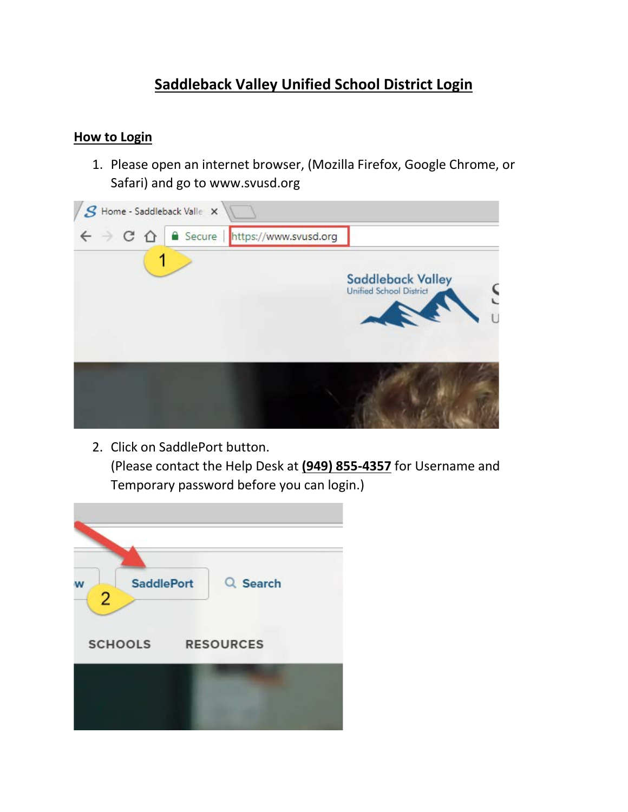## **Saddleback Valley Unified School District Login**

## **How to Login**

1. Please open an internet browser, (Mozilla Firefox, Google Chrome, or Safari) and go to www.svusd.org



2. Click on SaddlePort button. (Please contact the Help Desk at **(949) 855-4357** for Username and Temporary password before you can login.)

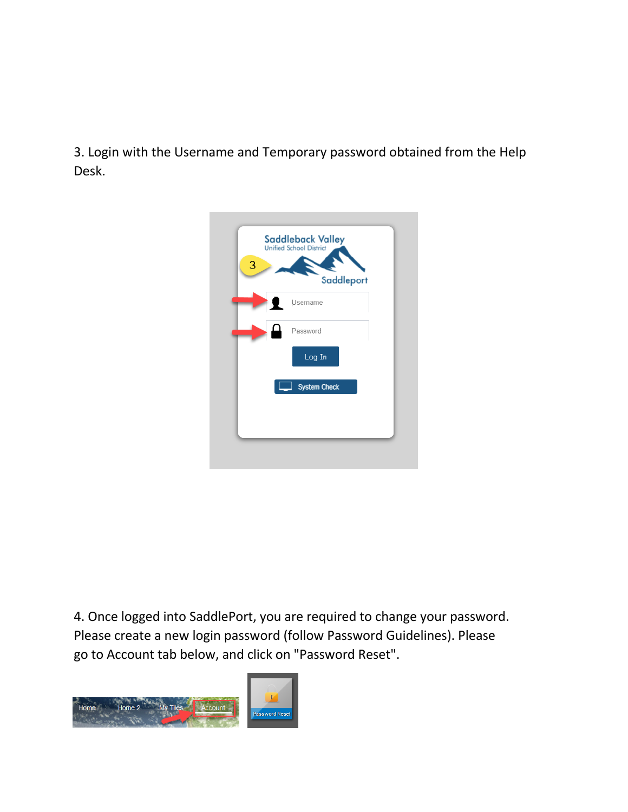3. Login with the Username and Temporary password obtained from the Help Desk.



4. Once logged into SaddlePort, you are required to change your password. Please create a new login password (follow Password Guidelines). Please go to Account tab below, and click on "Password Reset".

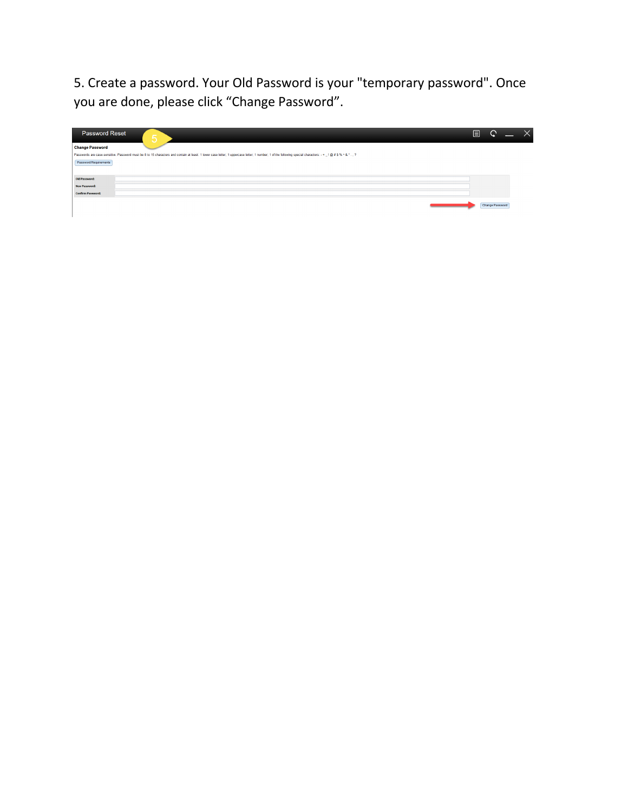5. Create a password. Your Old Password is your "temporary password". Once you are done, please click "Change Password".

| <b>Password Reset</b>    | 5                                                                                                                                                                                                            | 目 | C               |  |
|--------------------------|--------------------------------------------------------------------------------------------------------------------------------------------------------------------------------------------------------------|---|-----------------|--|
| <b>Change Password</b>   |                                                                                                                                                                                                              |   |                 |  |
|                          | Passwords are case-sensitive. Password must be 8 to 15 characters and contain at least: 1 lower case letter; 1 uppercase letter; 1 number; 1 of the following special characters: - + _ 1 @ # \$ % ^ & * , ? |   |                 |  |
| Password Requirements    |                                                                                                                                                                                                              |   |                 |  |
|                          |                                                                                                                                                                                                              |   |                 |  |
| Old Password:            |                                                                                                                                                                                                              |   |                 |  |
| <b>New Password:</b>     |                                                                                                                                                                                                              |   |                 |  |
| <b>Confirm Password:</b> |                                                                                                                                                                                                              |   |                 |  |
|                          |                                                                                                                                                                                                              |   | Change Password |  |
|                          |                                                                                                                                                                                                              |   |                 |  |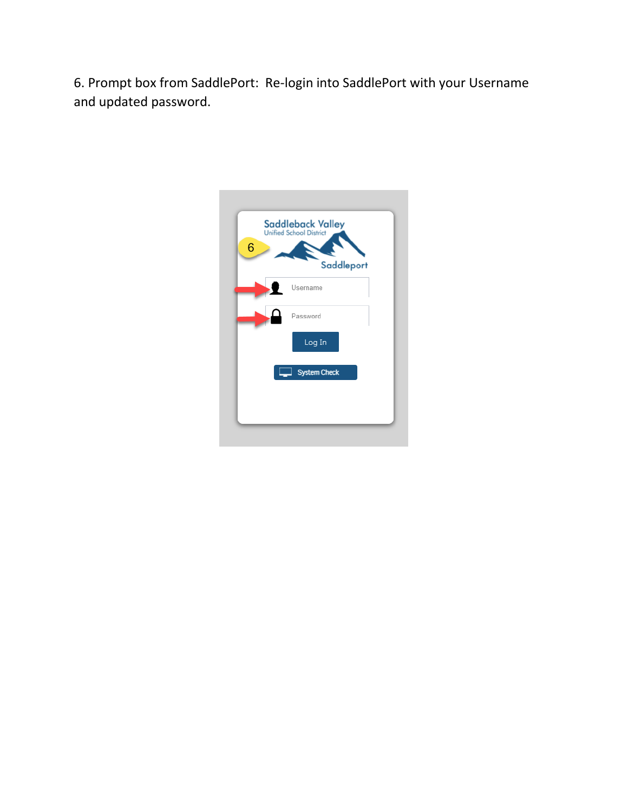6. Prompt box from SaddlePort: Re-login into SaddlePort with your Username and updated password.

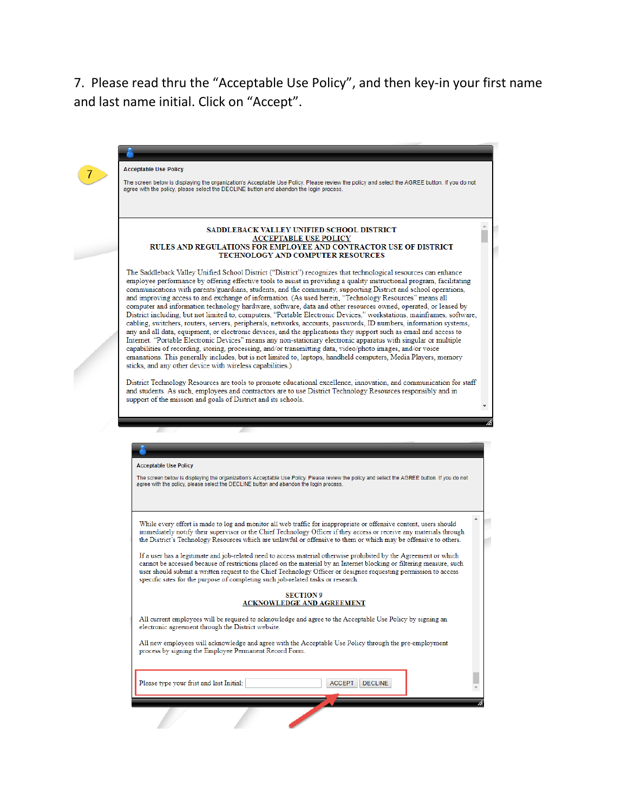7. Please read thru the "Acceptable Use Policy", and then key-in your first name and last name initial. Click on "Accept".

 $\begin{pmatrix} 7 \end{pmatrix}$ 

|                              | The screen below is displaying the organization's Acceptable Use Policy. Please review the policy and select the AGREE button. If you do not<br>agree with the policy, please select the DECLINE button and abandon the login process.                                                                                                                                                                                                                                                                                                                                                                                                                                                                                                                                                                                                                                                                                                                                                                                                                                                                                                                                                                                                                                                                                                                                    |  |
|------------------------------|---------------------------------------------------------------------------------------------------------------------------------------------------------------------------------------------------------------------------------------------------------------------------------------------------------------------------------------------------------------------------------------------------------------------------------------------------------------------------------------------------------------------------------------------------------------------------------------------------------------------------------------------------------------------------------------------------------------------------------------------------------------------------------------------------------------------------------------------------------------------------------------------------------------------------------------------------------------------------------------------------------------------------------------------------------------------------------------------------------------------------------------------------------------------------------------------------------------------------------------------------------------------------------------------------------------------------------------------------------------------------|--|
|                              | <b>SADDLEBACK VALLEY UNIFIED SCHOOL DISTRICT</b><br><b>ACCEPTABLE USE POLICY</b><br>RULES AND REGULATIONS FOR EMPLOYEE AND CONTRACTOR USE OF DISTRICT<br>TECHNOLOGY AND COMPUTER RESOURCES                                                                                                                                                                                                                                                                                                                                                                                                                                                                                                                                                                                                                                                                                                                                                                                                                                                                                                                                                                                                                                                                                                                                                                                |  |
|                              | The Saddleback Valley Unified School District ("District") recognizes that technological resources can enhance<br>employee performance by offering effective tools to assist in providing a quality instructional program, facilitating<br>communications with parents/guardians, students, and the community, supporting District and school operations,<br>and improving access to and exchange of information. (As used herein, "Technology Resources" means all<br>computer and information technology hardware, software, data and other resources owned, operated, or leased by<br>District including, but not limited to, computers, "Portable Electronic Devices," workstations, mainframes, software,<br>cabling, switchers, routers, servers, peripherals, networks, accounts, passwords, ID numbers, information systems,<br>any and all data, equipment, or electronic devices, and the applications they support such as email and access to<br>Internet. "Portable Electronic Devices" means any non-stationary electronic apparatus with singular or multiple<br>capabilities of recording, storing, processing, and/or transmitting data, video/photo images, and/or voice<br>emanations. This generally includes, but is not limited to, laptops, handheld computers, Media Players, memory<br>sticks, and any other device with wireless capabilities.) |  |
|                              | District Technology Resources are tools to promote educational excellence, innovation, and communication for staff<br>and students. As such, employees and contractors are to use District Technology Resources responsibly and in<br>support of the mission and goals of District and its schools.                                                                                                                                                                                                                                                                                                                                                                                                                                                                                                                                                                                                                                                                                                                                                                                                                                                                                                                                                                                                                                                                       |  |
| <b>Acceptable Use Policy</b> |                                                                                                                                                                                                                                                                                                                                                                                                                                                                                                                                                                                                                                                                                                                                                                                                                                                                                                                                                                                                                                                                                                                                                                                                                                                                                                                                                                           |  |
|                              | The screen below is displaying the organization's Acceptable Use Policy. Please review the policy and select the AGREE button. If you do not<br>agree with the policy, please select the DECLINE button and abandon the login process.                                                                                                                                                                                                                                                                                                                                                                                                                                                                                                                                                                                                                                                                                                                                                                                                                                                                                                                                                                                                                                                                                                                                    |  |
|                              | While every effort is made to log and monitor all web traffic for inappropriate or offensive content, users should<br>immediately notify their supervisor or the Chief Technology Officer if they access or receive any materials through<br>the District's Technology Resources which are unlawful or offensive to them or which may be offensive to others.<br>If a user has a legitimate and job-related need to access material otherwise prohibited by the Agreement or which<br>cannot be accessed because of restrictions placed on the material by an Internet blocking or filtering measure, such<br>user should submit a written request to the Chief Technology Officer or designee requesting permission to access<br>specific sites for the purpose of completing such job-related tasks or research.                                                                                                                                                                                                                                                                                                                                                                                                                                                                                                                                                        |  |
|                              | <b>SECTION 9</b><br><u>NOWLEDGE AND AGREEMENT</u>                                                                                                                                                                                                                                                                                                                                                                                                                                                                                                                                                                                                                                                                                                                                                                                                                                                                                                                                                                                                                                                                                                                                                                                                                                                                                                                         |  |
|                              | All current employees will be required to acknowledge and agree to the Acceptable Use Policy by signing an<br>electronic agreement through the District website.                                                                                                                                                                                                                                                                                                                                                                                                                                                                                                                                                                                                                                                                                                                                                                                                                                                                                                                                                                                                                                                                                                                                                                                                          |  |
|                              | All new employees will acknowledge and agree with the Acceptable Use Policy through the pre-employment<br>process by signing the Employee Permanent Record Form.                                                                                                                                                                                                                                                                                                                                                                                                                                                                                                                                                                                                                                                                                                                                                                                                                                                                                                                                                                                                                                                                                                                                                                                                          |  |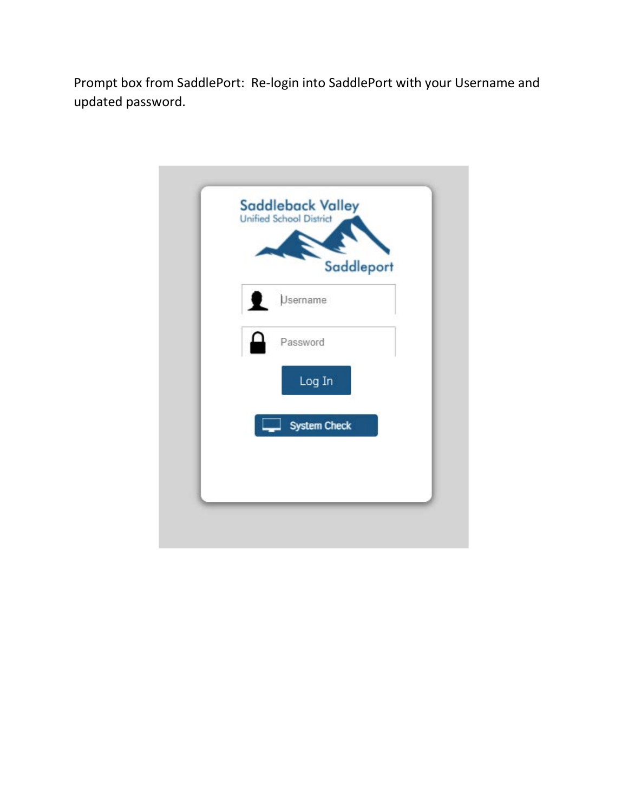Prompt box from SaddlePort: Re-login into SaddlePort with your Username and updated password.

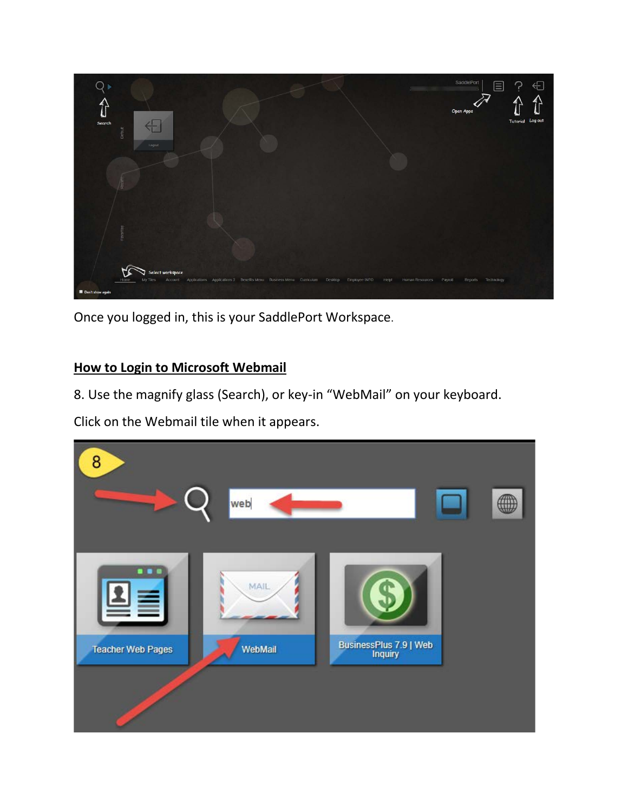

Once you logged in, this is your SaddlePort Workspace.

## **How to Login to Microsoft Webmail**

8. Use the magnify glass (Search), or key-in "WebMail" on your keyboard.

Click on the Webmail tile when it appears.

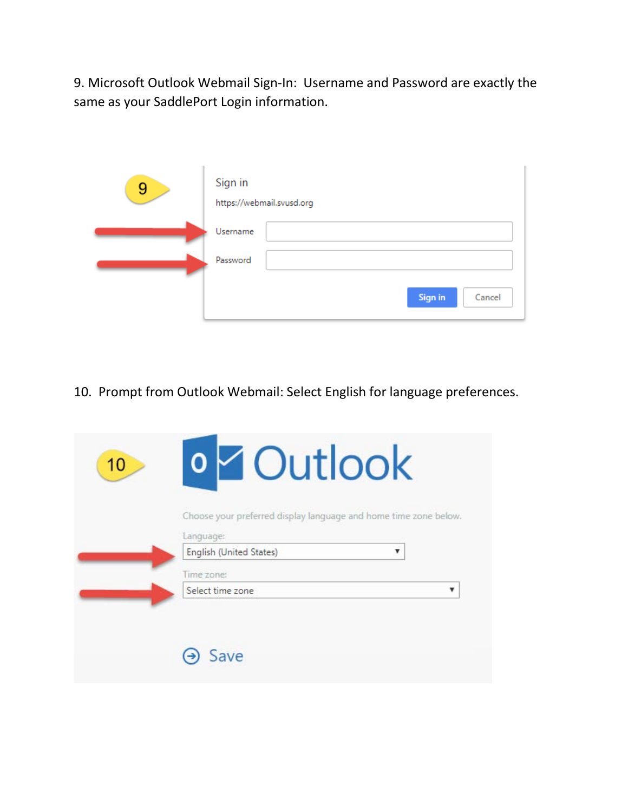9. Microsoft Outlook Webmail Sign-In: Username and Password are exactly the same as your SaddlePort Login information.

| 9 | Sign in  | https://webmail.svusd.org |                |        |
|---|----------|---------------------------|----------------|--------|
|   | Username |                           |                |        |
|   | Password |                           |                |        |
|   |          |                           | <b>Sign in</b> | Cancel |

10. Prompt from Outlook Webmail: Select English for language preferences.

| Choose your preferred display language and home time zone below. |
|------------------------------------------------------------------|
| Language:                                                        |
| English (United States)<br>v                                     |
| Time zone:                                                       |
| Select time zone<br>v                                            |